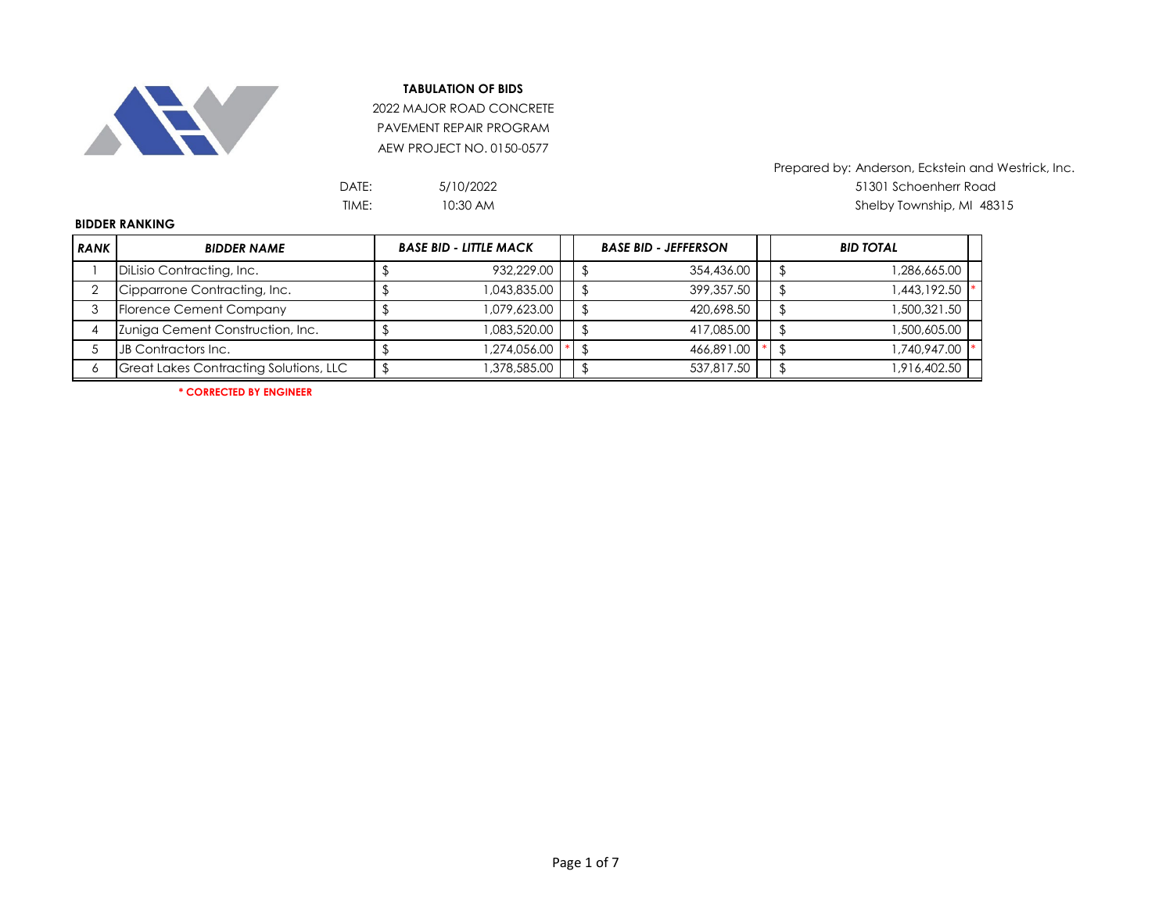

2022 MAJOR ROAD CONCRETE PAVEMENT REPAIR PROGRAM AEW PROJECT NO. 0150-0577

| 5/10/2022 |
|-----------|
| 10:30 AM  |

Prepared by: Anderson, Eckstein and Westrick, Inc. DATE: 51301 Schoenherr Road TIME: Shelby Township, MI 48315

## **BIDDER RANKING**

| <b>RANK</b> | <b>BIDDER NAME</b>                     | <b>BASE BID - LITTLE MACK</b> |              |  | <b>BASE BID - JEFFERSON</b> |            |  | <b>BID TOTAL</b> |
|-------------|----------------------------------------|-------------------------------|--------------|--|-----------------------------|------------|--|------------------|
|             | Dilisio Contracting, Inc.              |                               | 932,229.00   |  |                             | 354,436.00 |  | ,286,665.00      |
|             | Cipparrone Contracting, Inc.           |                               | 1,043,835.00 |  |                             | 399,357.50 |  | 1,443,192.50     |
|             | Florence Cement Company                |                               | 1,079,623.00 |  |                             | 420,698.50 |  | 500,321.50       |
|             | Zuniga Cement Construction, Inc.       |                               | 1,083,520.00 |  |                             | 417.085.00 |  | 500,605.00       |
|             | JB Contractors Inc.                    |                               | 1,274,056.00 |  |                             | 466.891.00 |  | 740,947.00       |
|             | Great Lakes Contracting Solutions, LLC |                               | ,378,585.00  |  |                             | 537.817.50 |  | 916,402.50       |

**\* CORRECTED BY ENGINEER**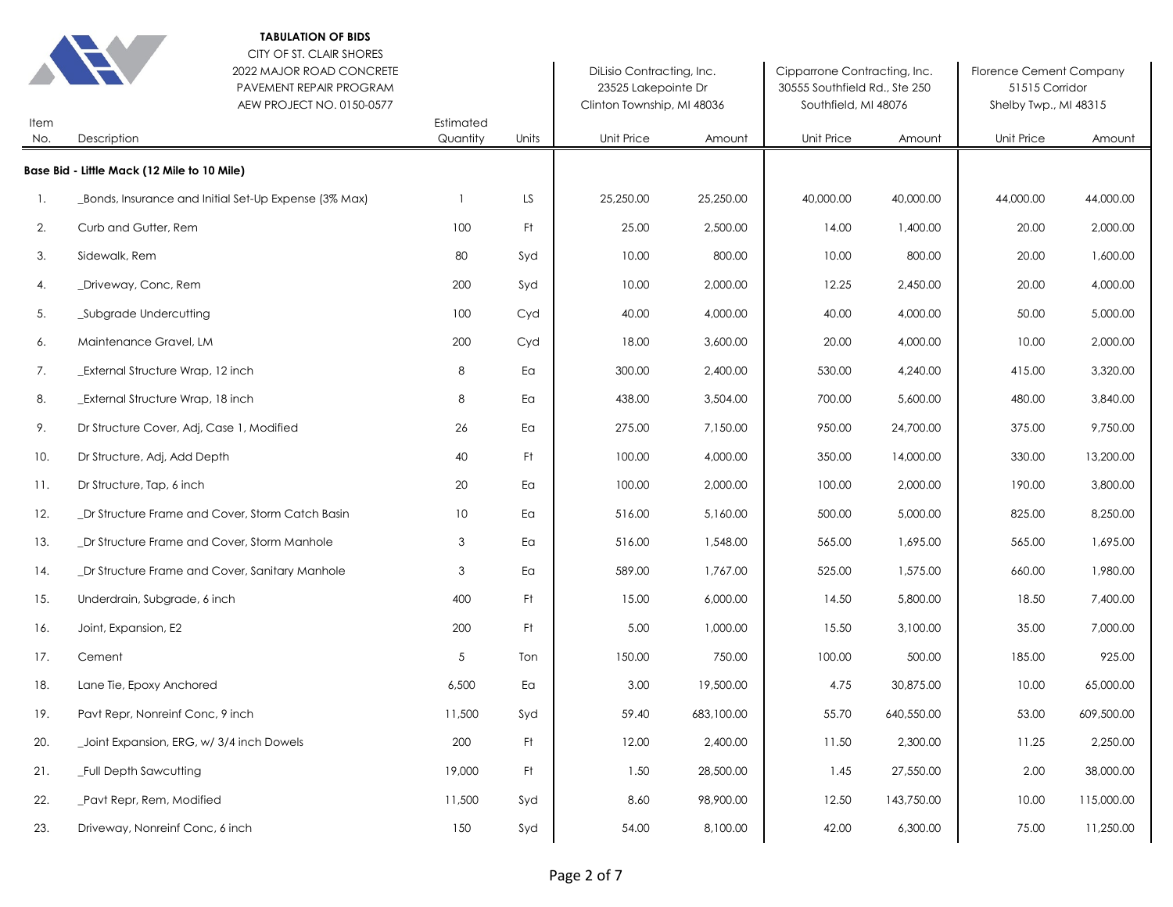|             | <b>TABULATION OF BIDS</b><br>CITY OF ST. CLAIR SHORES<br>2022 MAJOR ROAD CONCRETE<br>PAVEMENT REPAIR PROGRAM<br>AEW PROJECT NO. 0150-0577 |                       |       | DiLisio Contracting, Inc.<br>23525 Lakepointe Dr<br>Clinton Township, MI 48036 |            | Cipparrone Contracting, Inc.<br>30555 Southfield Rd., Ste 250<br>Southfield, MI 48076 |            | <b>Florence Cement Company</b><br>51515 Corridor<br>Shelby Twp., MI 48315 |            |
|-------------|-------------------------------------------------------------------------------------------------------------------------------------------|-----------------------|-------|--------------------------------------------------------------------------------|------------|---------------------------------------------------------------------------------------|------------|---------------------------------------------------------------------------|------------|
| Item<br>No. | Description                                                                                                                               | Estimated<br>Quantity | Units | Unit Price                                                                     | Amount     | <b>Unit Price</b>                                                                     | Amount     | <b>Unit Price</b>                                                         | Amount     |
|             | Base Bid - Little Mack (12 Mile to 10 Mile)                                                                                               |                       |       |                                                                                |            |                                                                                       |            |                                                                           |            |
| 1.          | Bonds, Insurance and Initial Set-Up Expense (3% Max)                                                                                      | $\mathbf{1}$          | LS.   | 25,250.00                                                                      | 25,250.00  | 40,000.00                                                                             | 40,000.00  | 44,000.00                                                                 | 44,000.00  |
| 2.          | Curb and Gutter, Rem                                                                                                                      | 100                   | Ft    | 25.00                                                                          | 2,500.00   | 14.00                                                                                 | 1,400.00   | 20.00                                                                     | 2,000.00   |
| 3.          | Sidewalk, Rem                                                                                                                             | 80                    | Syd   | 10.00                                                                          | 800.00     | 10.00                                                                                 | 800.00     | 20.00                                                                     | 1,600.00   |
| 4.          | _Driveway, Conc, Rem                                                                                                                      | 200                   | Syd   | 10.00                                                                          | 2,000.00   | 12.25                                                                                 | 2,450.00   | 20.00                                                                     | 4,000.00   |
| 5.          | _Subgrade Undercutting                                                                                                                    | 100                   | Cyd   | 40.00                                                                          | 4,000.00   | 40.00                                                                                 | 4,000.00   | 50.00                                                                     | 5,000.00   |
| 6.          | Maintenance Gravel, LM                                                                                                                    | 200                   | Cyd   | 18.00                                                                          | 3,600.00   | 20.00                                                                                 | 4,000.00   | 10.00                                                                     | 2,000.00   |
| 7.          | _External Structure Wrap, 12 inch                                                                                                         | 8                     | Eα    | 300.00                                                                         | 2,400.00   | 530.00                                                                                | 4,240.00   | 415.00                                                                    | 3,320.00   |
| 8.          | _External Structure Wrap, 18 inch                                                                                                         | 8                     | Eα    | 438.00                                                                         | 3,504.00   | 700.00                                                                                | 5,600.00   | 480.00                                                                    | 3,840.00   |
| 9.          | Dr Structure Cover, Adj, Case 1, Modified                                                                                                 | 26                    | Eα    | 275.00                                                                         | 7,150.00   | 950.00                                                                                | 24,700.00  | 375.00                                                                    | 9,750.00   |
| 10.         | Dr Structure, Adj, Add Depth                                                                                                              | 40                    | Ft    | 100.00                                                                         | 4,000.00   | 350.00                                                                                | 14,000.00  | 330.00                                                                    | 13,200.00  |
| 11.         | Dr Structure, Tap, 6 inch                                                                                                                 | 20                    | Ea    | 100.00                                                                         | 2,000.00   | 100.00                                                                                | 2,000.00   | 190.00                                                                    | 3,800.00   |
| 12.         | _Dr Structure Frame and Cover, Storm Catch Basin                                                                                          | 10                    | Ea    | 516.00                                                                         | 5,160.00   | 500.00                                                                                | 5,000.00   | 825.00                                                                    | 8,250.00   |
| 13.         | _Dr Structure Frame and Cover, Storm Manhole                                                                                              | 3                     | Ea    | 516.00                                                                         | 1,548.00   | 565.00                                                                                | 1,695.00   | 565.00                                                                    | 1,695.00   |
| 14.         | _Dr Structure Frame and Cover, Sanitary Manhole                                                                                           | 3                     | Ea    | 589.00                                                                         | 1,767.00   | 525.00                                                                                | 1,575.00   | 660.00                                                                    | 1,980.00   |
| 15.         | Underdrain, Subgrade, 6 inch                                                                                                              | 400                   | Ft.   | 15.00                                                                          | 6,000.00   | 14.50                                                                                 | 5,800.00   | 18.50                                                                     | 7,400.00   |
| 16.         | Joint, Expansion, E2                                                                                                                      | 200                   | Ft.   | 5.00                                                                           | 1,000.00   | 15.50                                                                                 | 3,100.00   | 35.00                                                                     | 7,000.00   |
| 17.         | Cement                                                                                                                                    | 5                     | Ton   | 150.00                                                                         | 750.00     | 100.00                                                                                | 500.00     | 185.00                                                                    | 925.00     |
| 18.         | Lane Tie, Epoxy Anchored                                                                                                                  | 6,500                 | Ea    | 3.00                                                                           | 19,500.00  | 4.75                                                                                  | 30,875.00  | 10.00                                                                     | 65,000.00  |
| 19.         | Pavt Repr, Nonreinf Conc, 9 inch                                                                                                          | 11,500                | Syd   | 59.40                                                                          | 683,100.00 | 55.70                                                                                 | 640,550.00 | 53.00                                                                     | 609,500.00 |
| 20.         | _Joint Expansion, ERG, w/ 3/4 inch Dowels                                                                                                 | 200                   | Ft    | 12.00                                                                          | 2,400.00   | 11.50                                                                                 | 2,300.00   | 11.25                                                                     | 2,250.00   |
| 21.         | _Full Depth Sawcutting                                                                                                                    | 19,000                | Ft.   | 1.50                                                                           | 28,500.00  | 1.45                                                                                  | 27,550.00  | 2.00                                                                      | 38,000.00  |
| 22.         | Pavt Repr, Rem, Modified                                                                                                                  | 11,500                | Syd   | 8.60                                                                           | 98,900.00  | 12.50                                                                                 | 143,750.00 | 10.00                                                                     | 115,000.00 |
| 23.         | Driveway, Nonreinf Conc, 6 inch                                                                                                           | 150                   | Syd   | 54.00                                                                          | 8,100.00   | 42.00                                                                                 | 6,300.00   | 75.00                                                                     | 11,250.00  |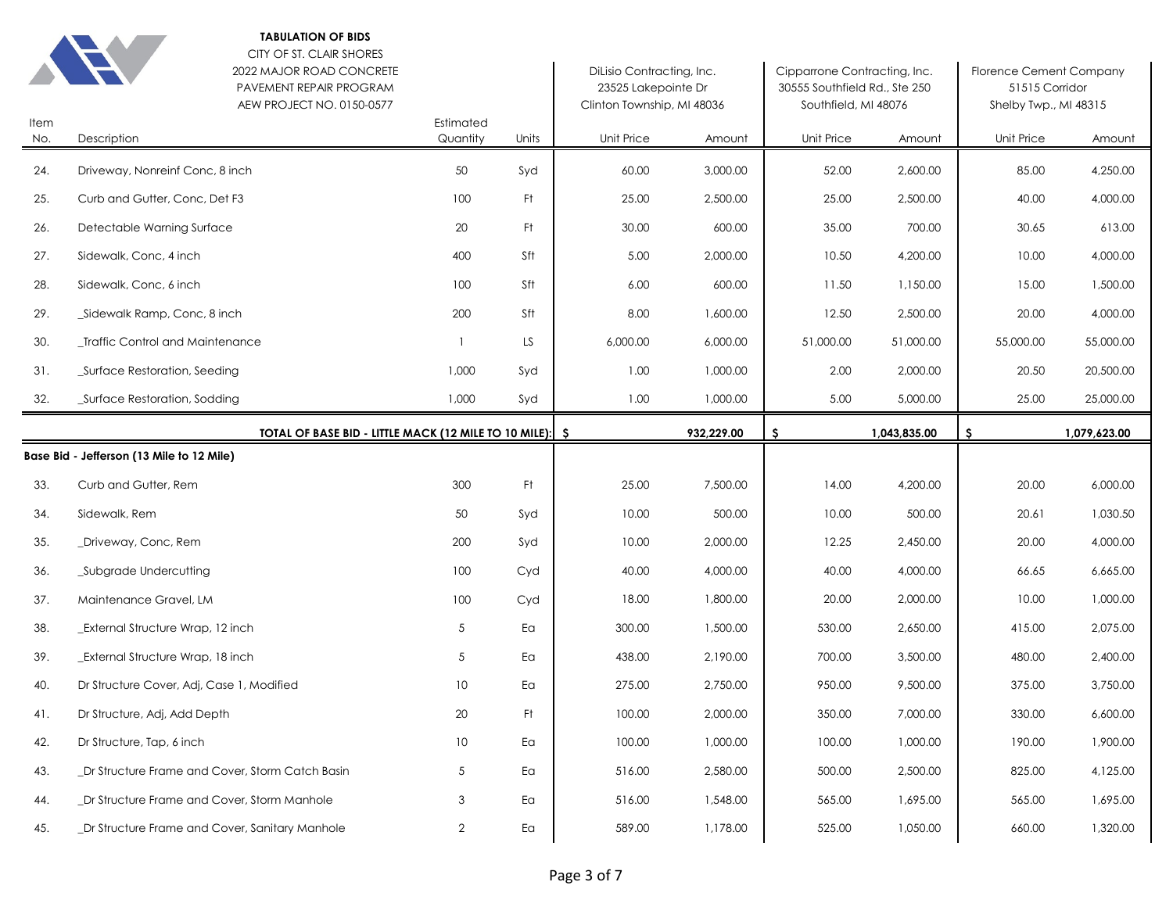|             | <b>TABULATION OF BIDS</b><br>CITY OF ST. CLAIR SHORES<br>2022 MAJOR ROAD CONCRETE<br>PAVEMENT REPAIR PROGRAM<br>AEW PROJECT NO. 0150-0577 |                       |                        | DiLisio Contracting, Inc.<br>23525 Lakepointe Dr<br>Clinton Township, MI 48036 |            | Cipparrone Contracting, Inc.<br>30555 Southfield Rd., Ste 250<br>Southfield, MI 48076 |              | <b>Florence Cement Company</b><br>51515 Corridor<br>Shelby Twp., MI 48315 |              |
|-------------|-------------------------------------------------------------------------------------------------------------------------------------------|-----------------------|------------------------|--------------------------------------------------------------------------------|------------|---------------------------------------------------------------------------------------|--------------|---------------------------------------------------------------------------|--------------|
| Item<br>No. | Description                                                                                                                               | Estimated<br>Quantity | Units                  | Unit Price                                                                     | Amount     | <b>Unit Price</b>                                                                     | Amount       | Unit Price                                                                | Amount       |
| 24.         | Driveway, Nonreinf Conc, 8 inch                                                                                                           | 50                    | Syd                    | 60.00                                                                          | 3,000.00   | 52.00                                                                                 | 2,600.00     | 85.00                                                                     | 4,250.00     |
| 25.         | Curb and Gutter, Conc, Det F3                                                                                                             | 100                   | Ft                     | 25.00                                                                          | 2,500.00   | 25.00                                                                                 | 2,500.00     | 40.00                                                                     | 4,000.00     |
| 26.         | Detectable Warning Surface                                                                                                                | 20                    | Ft.                    | 30.00                                                                          | 600.00     | 35.00                                                                                 | 700.00       | 30.65                                                                     | 613.00       |
| 27.         | Sidewalk, Conc, 4 inch                                                                                                                    | 400                   | Sft                    | 5.00                                                                           | 2,000.00   | 10.50                                                                                 | 4,200.00     | 10.00                                                                     | 4,000.00     |
| 28.         | Sidewalk, Conc, 6 inch                                                                                                                    | 100                   | Sft                    | 6.00                                                                           | 600.00     | 11.50                                                                                 | 1,150.00     | 15.00                                                                     | 1,500.00     |
| 29.         | _Sidewalk Ramp, Conc, 8 inch                                                                                                              | 200                   | Sft                    | 8.00                                                                           | 1,600.00   | 12.50                                                                                 | 2,500.00     | 20.00                                                                     | 4,000.00     |
| 30.         | _Traffic Control and Maintenance                                                                                                          | $\mathbf{1}$          | LS                     | 6,000.00                                                                       | 6,000.00   | 51,000.00                                                                             | 51,000.00    | 55,000.00                                                                 | 55,000.00    |
| 31.         | _Surface Restoration, Seeding                                                                                                             | 1,000                 | Syd                    | 1.00                                                                           | 1,000.00   | 2.00                                                                                  | 2,000.00     | 20.50                                                                     | 20,500.00    |
| 32.         | _Surface Restoration, Sodding                                                                                                             | 1,000                 | Syd                    | 1.00                                                                           | 1,000.00   | 5.00                                                                                  | 5,000.00     | 25.00                                                                     | 25,000.00    |
|             | TOTAL OF BASE BID - LITTLE MACK (12 MILE TO 10 MILE):   \$                                                                                |                       |                        |                                                                                | 932,229.00 | s                                                                                     | 1,043,835.00 | \$                                                                        | 1,079,623.00 |
|             | Base Bid - Jefferson (13 Mile to 12 Mile)                                                                                                 |                       |                        |                                                                                |            |                                                                                       |              |                                                                           |              |
|             |                                                                                                                                           |                       |                        |                                                                                |            |                                                                                       |              |                                                                           |              |
| 33.         | Curb and Gutter, Rem                                                                                                                      | 300                   | Ft.                    | 25.00                                                                          | 7,500.00   | 14.00                                                                                 | 4,200.00     | 20.00                                                                     | 6,000.00     |
| 34.         | Sidewalk, Rem                                                                                                                             | 50                    | Syd                    | 10.00                                                                          | 500.00     | 10.00                                                                                 | 500.00       | 20.61                                                                     | 1,030.50     |
| 35.         | _Driveway, Conc, Rem                                                                                                                      | 200                   | Syd                    | 10.00                                                                          | 2,000.00   | 12.25                                                                                 | 2,450.00     | 20.00                                                                     | 4,000.00     |
| 36.         | _Subgrade Undercutting                                                                                                                    | 100                   | Cyd                    | 40.00                                                                          | 4,000.00   | 40.00                                                                                 | 4,000.00     | 66.65                                                                     | 6,665.00     |
| 37.         | Maintenance Gravel, LM                                                                                                                    | 100                   | Cyd                    | 18.00                                                                          | 1,800.00   | 20.00                                                                                 | 2,000.00     | 10.00                                                                     | 1,000.00     |
| 38.         | <b>External Structure Wrap, 12 inch</b>                                                                                                   | 5                     | Ea                     | 300.00                                                                         | 1,500.00   | 530.00                                                                                | 2,650.00     | 415.00                                                                    | 2,075.00     |
| 39.         | _External Structure Wrap, 18 inch                                                                                                         | 5                     | Ea                     | 438.00                                                                         | 2,190.00   | 700.00                                                                                | 3,500.00     | 480.00                                                                    | 2,400.00     |
| 40.         | Dr Structure Cover, Adj, Case 1, Modified                                                                                                 | 10                    | Ea                     | 275.00                                                                         | 2,750.00   | 950.00                                                                                | 9,500.00     | 375.00                                                                    | 3,750.00     |
| 41.         | Dr Structure, Adj, Add Depth                                                                                                              | 20                    | Ft.                    | 100.00                                                                         | 2,000.00   | 350.00                                                                                | 7,000.00     | 330.00                                                                    | 6,600.00     |
| 42.         | Dr Structure, Tap, 6 inch                                                                                                                 | $10$                  | $\mathsf{E}\mathsf{a}$ | 100.00                                                                         | 1,000.00   | 100.00                                                                                | 1,000.00     | 190.00                                                                    | 1,900.00     |
| 43.         | _Dr Structure Frame and Cover, Storm Catch Basin                                                                                          | 5                     | Ea                     | 516.00                                                                         | 2,580.00   | 500.00                                                                                | 2,500.00     | 825.00                                                                    | 4,125.00     |
| 44.         | _Dr Structure Frame and Cover, Storm Manhole                                                                                              | 3                     | Ea                     | 516.00                                                                         | 1,548.00   | 565.00                                                                                | 1,695.00     | 565.00                                                                    | 1,695.00     |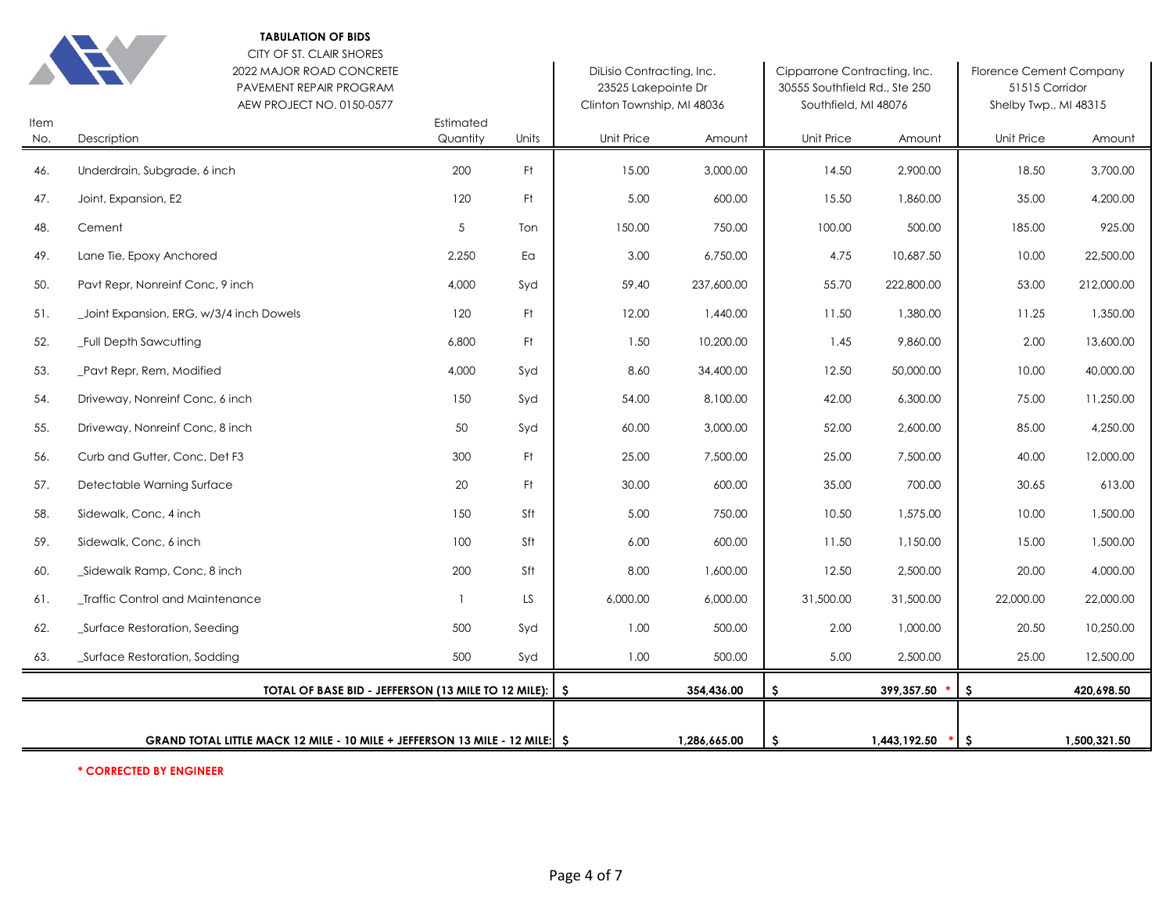|             | <b>TABULATION OF BIDS</b><br>CITY OF ST. CLAIR SHORES<br>2022 MAJOR ROAD CONCRETE<br>PAVEMENT REPAIR PROGRAM<br>AEW PROJECT NO. 0150-0577 |                       |       | DiLisio Contracting, Inc.<br>23525 Lakepointe Dr<br>Clinton Township, MI 48036 |              | Cipparrone Contracting, Inc.<br>30555 Southfield Rd., Ste 250<br>Southfield, MI 48076 |              | <b>Florence Cement Company</b><br>51515 Corridor<br>Shelby Twp., MI 48315 |              |
|-------------|-------------------------------------------------------------------------------------------------------------------------------------------|-----------------------|-------|--------------------------------------------------------------------------------|--------------|---------------------------------------------------------------------------------------|--------------|---------------------------------------------------------------------------|--------------|
| Item<br>No. | Description                                                                                                                               | Estimated<br>Quantity | Units | Unit Price                                                                     | Amount       | Unit Price                                                                            | Amount       | Unit Price                                                                | Amount       |
| 46.         | Underdrain, Subgrade, 6 inch                                                                                                              | 200                   | Ft.   | 15.00                                                                          | 3,000.00     | 14.50                                                                                 | 2,900.00     | 18.50                                                                     | 3,700.00     |
| 47.         | Joint, Expansion, E2                                                                                                                      | 120                   | Ft.   | 5.00                                                                           | 600.00       | 15.50                                                                                 | 1,860.00     | 35.00                                                                     | 4,200.00     |
| 48.         | Cement                                                                                                                                    | 5                     | Ton   | 150.00                                                                         | 750.00       | 100.00                                                                                | 500.00       | 185.00                                                                    | 925.00       |
| 49.         | Lane Tie, Epoxy Anchored                                                                                                                  | 2,250                 | Ea    | 3.00                                                                           | 6,750.00     | 4.75                                                                                  | 10,687.50    | 10.00                                                                     | 22,500.00    |
| 50.         | Pavt Repr, Nonreinf Conc, 9 inch                                                                                                          | 4,000                 | Syd   | 59.40                                                                          | 237,600.00   | 55.70                                                                                 | 222,800.00   | 53.00                                                                     | 212,000.00   |
| 51.         | Joint Expansion, ERG, w/3/4 inch Dowels                                                                                                   | 120                   | Ft.   | 12.00                                                                          | 1,440.00     | 11.50                                                                                 | 1,380.00     | 11.25                                                                     | 1,350.00     |
| 52.         | Full Depth Sawcutting                                                                                                                     | 6,800                 | Ft    | 1.50                                                                           | 10,200.00    | 1.45                                                                                  | 9,860.00     | 2.00                                                                      | 13,600.00    |
| 53.         | Pavt Repr, Rem, Modified                                                                                                                  | 4,000                 | Syd   | 8.60                                                                           | 34,400.00    | 12.50                                                                                 | 50,000.00    | 10.00                                                                     | 40,000.00    |
| 54.         | Driveway, Nonreinf Conc, 6 inch                                                                                                           | 150                   | Syd   | 54.00                                                                          | 8,100.00     | 42.00                                                                                 | 6,300.00     | 75.00                                                                     | 11,250.00    |
| 55.         | Driveway, Nonreinf Conc, 8 inch                                                                                                           | 50                    | Syd   | 60.00                                                                          | 3,000.00     | 52.00                                                                                 | 2,600.00     | 85.00                                                                     | 4,250.00     |
| 56.         | Curb and Gutter, Conc, Det F3                                                                                                             | 300                   | Ft    | 25.00                                                                          | 7,500.00     | 25.00                                                                                 | 7,500.00     | 40.00                                                                     | 12,000.00    |
| 57.         | Detectable Warning Surface                                                                                                                | 20                    | Ft    | 30.00                                                                          | 600.00       | 35.00                                                                                 | 700.00       | 30.65                                                                     | 613.00       |
| 58.         | Sidewalk, Conc, 4 inch                                                                                                                    | 150                   | Sft   | 5.00                                                                           | 750.00       | 10.50                                                                                 | 1,575.00     | 10.00                                                                     | 1,500.00     |
| 59.         | Sidewalk, Conc, 6 inch                                                                                                                    | 100                   | Sft   | 6.00                                                                           | 600.00       | 11.50                                                                                 | 1,150.00     | 15.00                                                                     | 1,500.00     |
| 60.         | _Sidewalk Ramp, Conc, 8 inch                                                                                                              | 200                   | Sft   | 8.00                                                                           | 1,600.00     | 12.50                                                                                 | 2,500.00     | 20.00                                                                     | 4,000.00     |
| 61.         | _Traffic Control and Maintenance                                                                                                          | $\overline{1}$        | LS.   | 6,000.00                                                                       | 6,000.00     | 31,500.00                                                                             | 31,500.00    | 22,000.00                                                                 | 22,000.00    |
| 62.         | Surface Restoration, Seeding                                                                                                              | 500                   | Syd   | 1.00                                                                           | 500.00       | 2.00                                                                                  | 1,000.00     | 20.50                                                                     | 10,250.00    |
| 63.         | _Surface Restoration, Sodding                                                                                                             | 500                   | Syd   | 1.00                                                                           | 500.00       | 5.00                                                                                  | 2,500.00     | 25.00                                                                     | 12,500.00    |
|             | TOTAL OF BASE BID - JEFFERSON (13 MILE TO 12 MILE): S                                                                                     |                       |       |                                                                                | 354,436.00   | S.                                                                                    | 399,357.50 * | S.                                                                        | 420,698.50   |
|             | GRAND TOTAL LITTLE MACK 12 MILE - 10 MILE + JEFFERSON 13 MILE - 12 MILE: S                                                                |                       |       |                                                                                | 1,286,665.00 | S.                                                                                    | 1,443,192.50 | S.                                                                        | 1,500,321.50 |

**\* CORRECTED BY ENGINEER**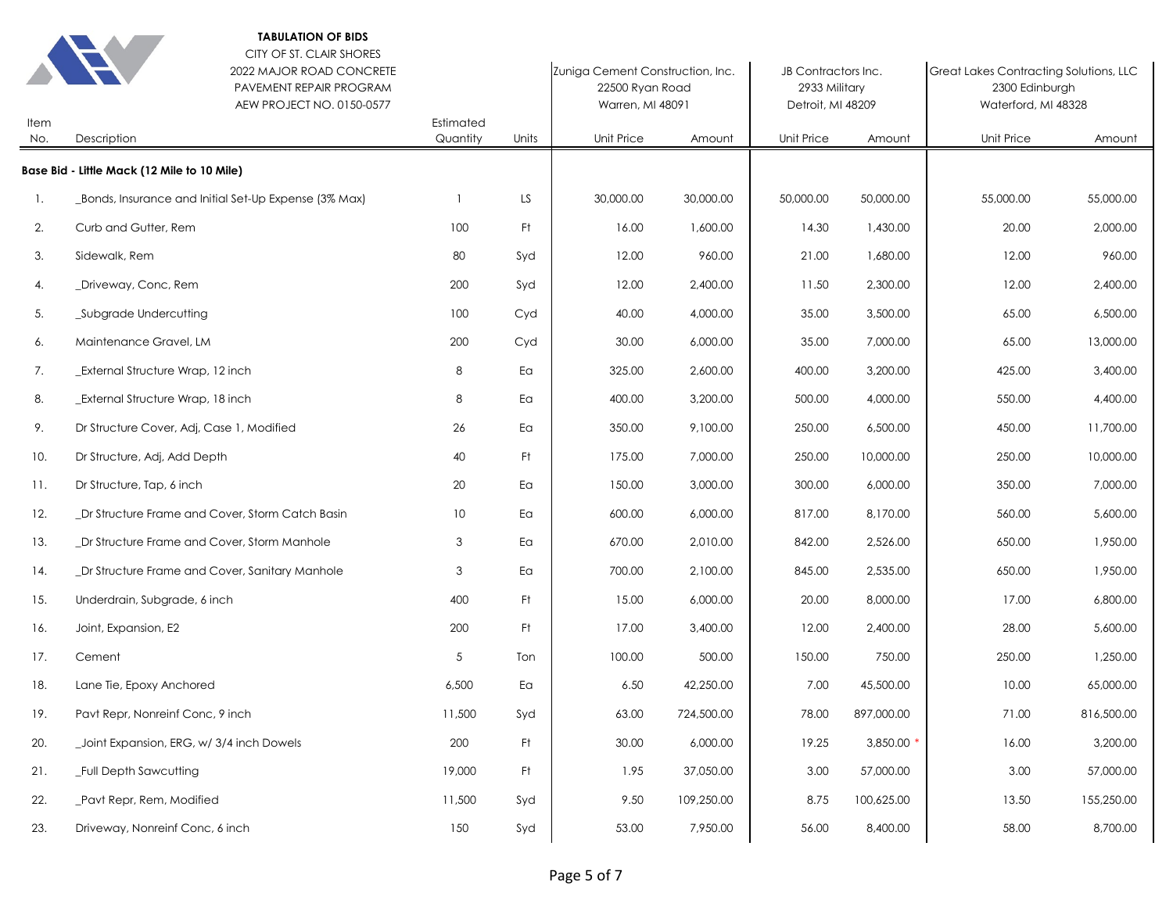| Item | <b>TABULATION OF BIDS</b><br>CITY OF ST. CLAIR SHORES<br>2022 MAJOR ROAD CONCRETE<br>PAVEMENT REPAIR PROGRAM<br>AEW PROJECT NO. 0150-0577 | Estimated       |       | Zuniga Cement Construction, Inc.<br>22500 Ryan Road<br>Warren, MI 48091 |            | JB Contractors Inc.<br>2933 Military<br>Detroit, MI 48209<br>Unit Price<br>Amount |            | Great Lakes Contracting Solutions, LLC<br>2300 Edinburgh<br>Waterford, MI 48328<br><b>Unit Price</b><br>Amount |            |
|------|-------------------------------------------------------------------------------------------------------------------------------------------|-----------------|-------|-------------------------------------------------------------------------|------------|-----------------------------------------------------------------------------------|------------|----------------------------------------------------------------------------------------------------------------|------------|
| No.  | Description                                                                                                                               | Quantity        | Units | Unit Price                                                              | Amount     |                                                                                   |            |                                                                                                                |            |
|      | Base Bid - Little Mack (12 Mile to 10 Mile)                                                                                               |                 |       |                                                                         |            |                                                                                   |            |                                                                                                                |            |
| 1.   | _Bonds, Insurance and Initial Set-Up Expense (3% Max)                                                                                     |                 | LS.   | 30,000.00                                                               | 30,000.00  | 50,000.00                                                                         | 50,000.00  | 55,000.00                                                                                                      | 55,000.00  |
| 2.   | Curb and Gutter, Rem                                                                                                                      | 100             | Ft.   | 16.00                                                                   | 1,600.00   | 14.30                                                                             | 1,430.00   | 20.00                                                                                                          | 2,000.00   |
| 3.   | Sidewalk, Rem                                                                                                                             | 80              | Syd   | 12.00                                                                   | 960.00     | 21.00                                                                             | 1,680.00   | 12.00                                                                                                          | 960.00     |
| 4.   | _Driveway, Conc, Rem                                                                                                                      | 200             | Syd   | 12.00                                                                   | 2,400.00   | 11.50                                                                             | 2,300.00   | 12.00                                                                                                          | 2,400.00   |
| 5.   | _Subgrade Undercutting                                                                                                                    | 100             | Cyd   | 40.00                                                                   | 4,000.00   | 35.00                                                                             | 3,500.00   | 65.00                                                                                                          | 6,500.00   |
| 6.   | Maintenance Gravel, LM                                                                                                                    | 200             | Cyd   | 30.00                                                                   | 6,000.00   | 35.00                                                                             | 7,000.00   | 65.00                                                                                                          | 13,000.00  |
| 7.   | <b>External Structure Wrap, 12 inch</b>                                                                                                   | 8               | Ea    | 325.00                                                                  | 2,600.00   | 400.00                                                                            | 3,200.00   | 425.00                                                                                                         | 3,400.00   |
| 8.   | External Structure Wrap, 18 inch                                                                                                          | 8               | Ea    | 400.00                                                                  | 3,200.00   | 500.00                                                                            | 4,000.00   | 550.00                                                                                                         | 4,400.00   |
| 9.   | Dr Structure Cover, Adj, Case 1, Modified                                                                                                 | 26              | Ea    | 350.00                                                                  | 9,100.00   | 250.00                                                                            | 6,500.00   | 450.00                                                                                                         | 11,700.00  |
| 10.  | Dr Structure, Adj, Add Depth                                                                                                              | 40              | Ft.   | 175.00                                                                  | 7,000.00   | 250.00                                                                            | 10,000.00  | 250.00                                                                                                         | 10,000.00  |
| 11.  | Dr Structure, Tap, 6 inch                                                                                                                 | 20              | Ea    | 150.00                                                                  | 3,000.00   | 300.00                                                                            | 6,000.00   | 350.00                                                                                                         | 7,000.00   |
| 12.  | _Dr Structure Frame and Cover, Storm Catch Basin                                                                                          | 10 <sup>°</sup> | Ea    | 600.00                                                                  | 6,000.00   | 817.00                                                                            | 8,170.00   | 560.00                                                                                                         | 5,600.00   |
| 13.  | _Dr Structure Frame and Cover, Storm Manhole                                                                                              | 3               | Ea    | 670.00                                                                  | 2,010.00   | 842.00                                                                            | 2,526.00   | 650.00                                                                                                         | 1,950.00   |
| 14.  | _Dr Structure Frame and Cover, Sanitary Manhole                                                                                           | 3               | Ea    | 700.00                                                                  | 2,100.00   | 845.00                                                                            | 2,535.00   | 650.00                                                                                                         | 1,950.00   |
| 15.  | Underdrain, Subgrade, 6 inch                                                                                                              | 400             | Ft.   | 15.00                                                                   | 6,000.00   | 20.00                                                                             | 8,000.00   | 17.00                                                                                                          | 6,800.00   |
| 16.  | Joint, Expansion, E2                                                                                                                      | 200             | Ft.   | 17.00                                                                   | 3,400.00   | 12.00                                                                             | 2,400.00   | 28.00                                                                                                          | 5,600.00   |
| 17.  | Cement                                                                                                                                    | 5               | Ton   | 100.00                                                                  | 500.00     | 150.00                                                                            | 750.00     | 250.00                                                                                                         | 1,250.00   |
| 18.  | Lane Tie, Epoxy Anchored                                                                                                                  | 6,500           | Ea    | 6.50                                                                    | 42,250.00  | 7.00                                                                              | 45,500.00  | 10.00                                                                                                          | 65,000.00  |
| 19.  | Pavt Repr, Nonreinf Conc, 9 inch                                                                                                          | 11,500          | Syd   | 63.00                                                                   | 724,500.00 | 78.00                                                                             | 897,000.00 | 71.00                                                                                                          | 816,500.00 |
| 20.  | _Joint Expansion, ERG, w/ 3/4 inch Dowels                                                                                                 | 200             | Ft.   | 30.00                                                                   | 6,000.00   | 19.25                                                                             | 3,850.00 * | 16.00                                                                                                          | 3,200.00   |
| 21.  | _Full Depth Sawcutting                                                                                                                    | 19,000          | Ft.   | 1.95                                                                    | 37,050.00  | 3.00                                                                              | 57,000.00  | 3.00                                                                                                           | 57,000.00  |
| 22.  | _Pavt Repr, Rem, Modified                                                                                                                 | 11,500          | Syd   | 9.50                                                                    | 109,250.00 | 8.75                                                                              | 100,625.00 | 13.50                                                                                                          | 155,250.00 |
| 23.  | Driveway, Nonreinf Conc, 6 inch                                                                                                           | 150             | Syd   | 53.00                                                                   | 7,950.00   | 56.00                                                                             | 8,400.00   | 58.00                                                                                                          | 8,700.00   |
|      |                                                                                                                                           |                 |       |                                                                         |            |                                                                                   |            |                                                                                                                |            |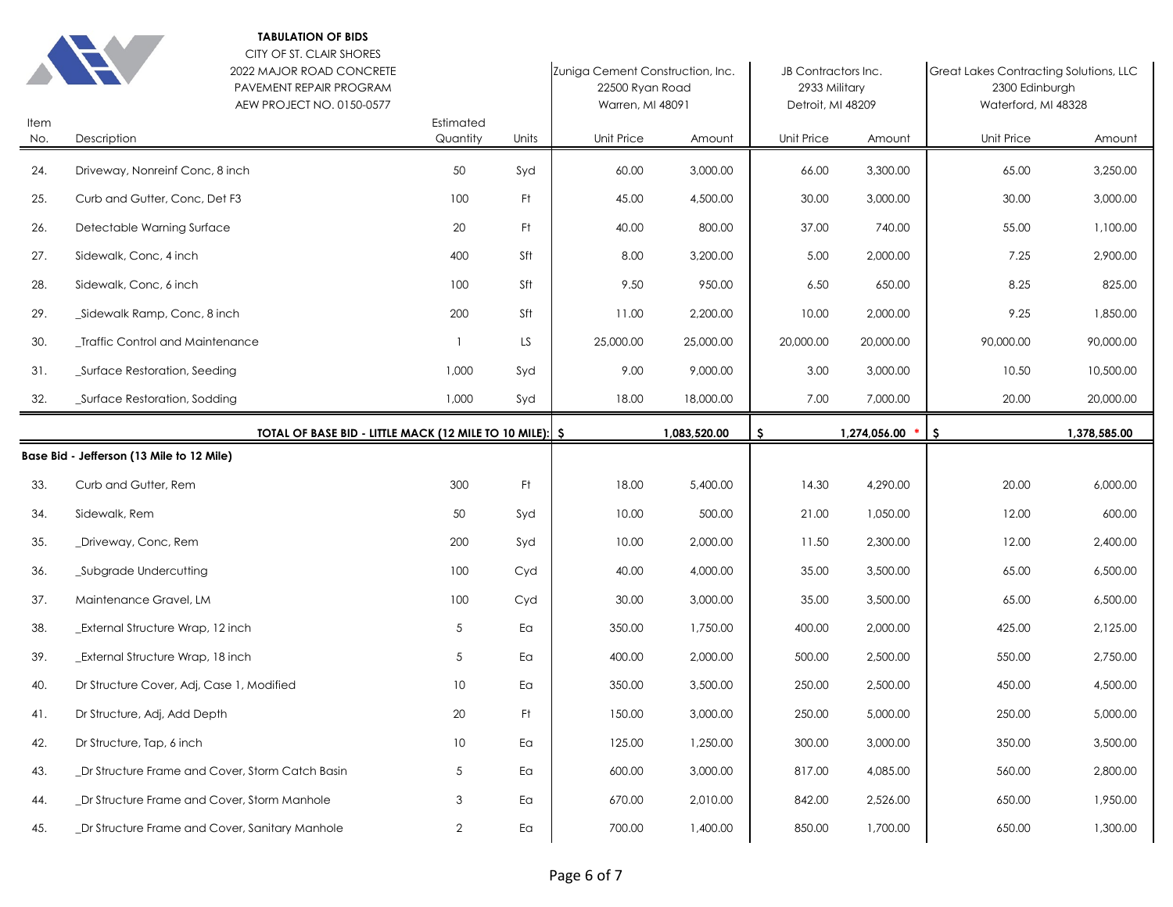

|             | CITY OF ST. CLAIR SHORES<br>2022 MAJOR ROAD CONCRETE<br>PAVEMENT REPAIR PROGRAM<br>AEW PROJECT NO. 0150-0577 |                       |       | Zuniga Cement Construction, Inc.<br>22500 Ryan Road<br>Warren, MI 48091 |              | JB Contractors Inc.<br>2933 Military<br>Detroit, MI 48209 |              | Great Lakes Contracting Solutions, LLC<br>2300 Edinburgh<br>Waterford, MI 48328 |              |
|-------------|--------------------------------------------------------------------------------------------------------------|-----------------------|-------|-------------------------------------------------------------------------|--------------|-----------------------------------------------------------|--------------|---------------------------------------------------------------------------------|--------------|
| Item<br>No. | Description                                                                                                  | Estimated<br>Quantity | Units | Unit Price                                                              | Amount       | <b>Unit Price</b>                                         | Amount       | Unit Price                                                                      | Amount       |
| 24.         | Driveway, Nonreinf Conc, 8 inch                                                                              | 50                    | Syd   | 60.00                                                                   | 3,000.00     | 66.00                                                     | 3,300.00     | 65.00                                                                           | 3,250.00     |
| 25.         | Curb and Gutter, Conc, Det F3                                                                                | 100                   | Ft    | 45.00                                                                   | 4,500.00     | 30.00                                                     | 3,000.00     | 30.00                                                                           | 3,000.00     |
| 26.         | Detectable Warning Surface                                                                                   | 20                    | Ft    | 40.00                                                                   | 800.00       | 37.00                                                     | 740.00       | 55.00                                                                           | 1,100.00     |
| 27.         | Sidewalk, Conc, 4 inch                                                                                       | 400                   | Sft   | 8.00                                                                    | 3,200.00     | 5.00                                                      | 2,000.00     | 7.25                                                                            | 2,900.00     |
| 28.         | Sidewalk, Conc, 6 inch                                                                                       | 100                   | Sft   | 9.50                                                                    | 950.00       | 6.50                                                      | 650.00       | 8.25                                                                            | 825.00       |
| 29.         | _Sidewalk Ramp, Conc, 8 inch                                                                                 | 200                   | Sft   | 11.00                                                                   | 2,200.00     | 10.00                                                     | 2,000.00     | 9.25                                                                            | 1,850.00     |
| 30.         | <b>Traffic Control and Maintenance</b>                                                                       | $\mathbf{1}$          | LS    | 25,000.00                                                               | 25,000.00    | 20,000.00                                                 | 20,000.00    | 90,000.00                                                                       | 90,000.00    |
| 31.         | _Surface Restoration, Seeding                                                                                | 1,000                 | Syd   | 9.00                                                                    | 9,000.00     | 3.00                                                      | 3,000.00     | 10.50                                                                           | 10,500.00    |
| 32.         | Surface Restoration, Sodding                                                                                 | 1,000                 | Syd   | 18.00                                                                   | 18,000.00    | 7.00                                                      | 7,000.00     | 20.00                                                                           | 20,000.00    |
|             | TOTAL OF BASE BID - LITTLE MACK (12 MILE TO 10 MILE):   \$                                                   |                       |       |                                                                         | 1,083,520.00 | -S                                                        | 1,274,056.00 | -\$                                                                             | 1,378,585.00 |
|             |                                                                                                              |                       |       |                                                                         |              |                                                           |              |                                                                                 |              |
|             | Base Bid - Jefferson (13 Mile to 12 Mile)                                                                    |                       |       |                                                                         |              |                                                           |              |                                                                                 |              |
| 33.         | Curb and Gutter, Rem                                                                                         | 300                   | Ft    | 18.00                                                                   | 5,400.00     | 14.30                                                     | 4,290.00     | 20.00                                                                           | 6,000.00     |
| 34.         | Sidewalk, Rem                                                                                                | 50                    | Syd   | 10.00                                                                   | 500.00       | 21.00                                                     | 1,050.00     | 12.00                                                                           | 600.00       |
| 35.         | _Driveway, Conc, Rem                                                                                         | 200                   | Syd   | 10.00                                                                   | 2,000.00     | 11.50                                                     | 2,300.00     | 12.00                                                                           | 2,400.00     |
| 36.         | _Subgrade Undercutting                                                                                       | 100                   | Cyd   | 40.00                                                                   | 4,000.00     | 35.00                                                     | 3,500.00     | 65.00                                                                           | 6,500.00     |
| 37.         | Maintenance Gravel, LM                                                                                       | 100                   | Cyd   | 30.00                                                                   | 3,000.00     | 35.00                                                     | 3,500.00     | 65.00                                                                           | 6,500.00     |
| 38.         | _External Structure Wrap, 12 inch                                                                            | 5                     | Ea    | 350.00                                                                  | 1,750.00     | 400.00                                                    | 2,000.00     | 425.00                                                                          | 2,125.00     |
| 39.         | _External Structure Wrap, 18 inch                                                                            | 5                     | Ea    | 400.00                                                                  | 2,000.00     | 500.00                                                    | 2,500.00     | 550.00                                                                          | 2,750.00     |
| 40.         | Dr Structure Cover, Adj, Case 1, Modified                                                                    | 10 <sup>°</sup>       | Ea    | 350.00                                                                  | 3,500.00     | 250.00                                                    | 2,500.00     | 450.00                                                                          | 4,500.00     |
| 41.         | Dr Structure, Adj, Add Depth                                                                                 | 20                    | Ft    | 150.00                                                                  | 3,000.00     | 250.00                                                    | 5,000.00     | 250.00                                                                          | 5,000.00     |
| 42.         | Dr Structure, Tap, 6 inch                                                                                    | 10                    | Ea    | 125.00                                                                  | 1,250.00     | 300.00                                                    | 3,000.00     | 350.00                                                                          | 3,500.00     |
| 43.         | _Dr Structure Frame and Cover, Storm Catch Basin                                                             | $\sqrt{5}$            | Ea    | 600.00                                                                  | 3,000.00     | 817.00                                                    | 4,085.00     | 560.00                                                                          | 2,800.00     |
| 44.         | _Dr Structure Frame and Cover, Storm Manhole                                                                 | 3                     | Ea    | 670.00                                                                  | 2,010.00     | 842.00                                                    | 2,526.00     | 650.00                                                                          | 1,950.00     |